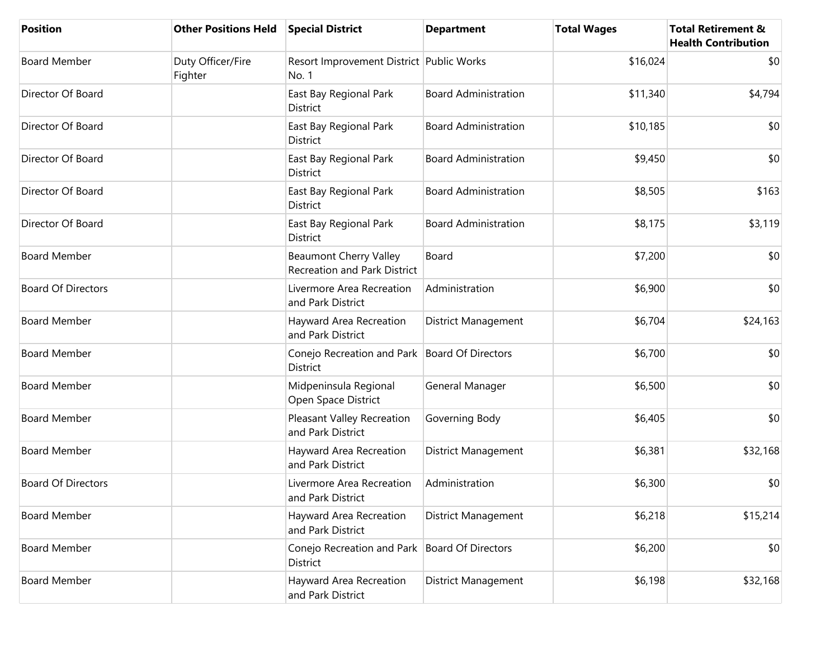| <b>Position</b>           | <b>Other Positions Held</b>  | <b>Special District</b>                                              | <b>Department</b>           | <b>Total Wages</b> | <b>Total Retirement &amp;</b><br><b>Health Contribution</b> |
|---------------------------|------------------------------|----------------------------------------------------------------------|-----------------------------|--------------------|-------------------------------------------------------------|
| <b>Board Member</b>       | Duty Officer/Fire<br>Fighter | Resort Improvement District Public Works<br>No. 1                    |                             | \$16,024           | \$0                                                         |
| Director Of Board         |                              | East Bay Regional Park<br><b>District</b>                            | <b>Board Administration</b> | \$11,340           | \$4,794                                                     |
| Director Of Board         |                              | East Bay Regional Park<br>District                                   | <b>Board Administration</b> | \$10,185           | \$0                                                         |
| Director Of Board         |                              | East Bay Regional Park<br>District                                   | <b>Board Administration</b> | \$9,450            | \$0                                                         |
| Director Of Board         |                              | East Bay Regional Park<br><b>District</b>                            | <b>Board Administration</b> | \$8,505            | \$163                                                       |
| Director Of Board         |                              | East Bay Regional Park<br>District                                   | <b>Board Administration</b> | \$8,175            | \$3,119                                                     |
| <b>Board Member</b>       |                              | <b>Beaumont Cherry Valley</b><br><b>Recreation and Park District</b> | Board                       | \$7,200            | \$0                                                         |
| <b>Board Of Directors</b> |                              | Livermore Area Recreation<br>and Park District                       | Administration              | \$6,900            | \$0                                                         |
| <b>Board Member</b>       |                              | Hayward Area Recreation<br>and Park District                         | District Management         | \$6,704            | \$24,163                                                    |
| <b>Board Member</b>       |                              | Conejo Recreation and Park   Board Of Directors<br>District          |                             | \$6,700            | \$0                                                         |
| <b>Board Member</b>       |                              | Midpeninsula Regional<br>Open Space District                         | General Manager             | \$6,500            | \$0                                                         |
| <b>Board Member</b>       |                              | Pleasant Valley Recreation<br>and Park District                      | Governing Body              | \$6,405            | \$0                                                         |
| <b>Board Member</b>       |                              | Hayward Area Recreation<br>and Park District                         | <b>District Management</b>  | \$6,381            | \$32,168                                                    |
| <b>Board Of Directors</b> |                              | Livermore Area Recreation<br>and Park District                       | Administration              | \$6,300            | \$0                                                         |
| <b>Board Member</b>       |                              | Hayward Area Recreation<br>and Park District                         | <b>District Management</b>  | \$6,218            | \$15,214                                                    |
| <b>Board Member</b>       |                              | Conejo Recreation and Park   Board Of Directors<br>District          |                             | \$6,200            | \$0                                                         |
| <b>Board Member</b>       |                              | Hayward Area Recreation<br>and Park District                         | District Management         | \$6,198            | \$32,168                                                    |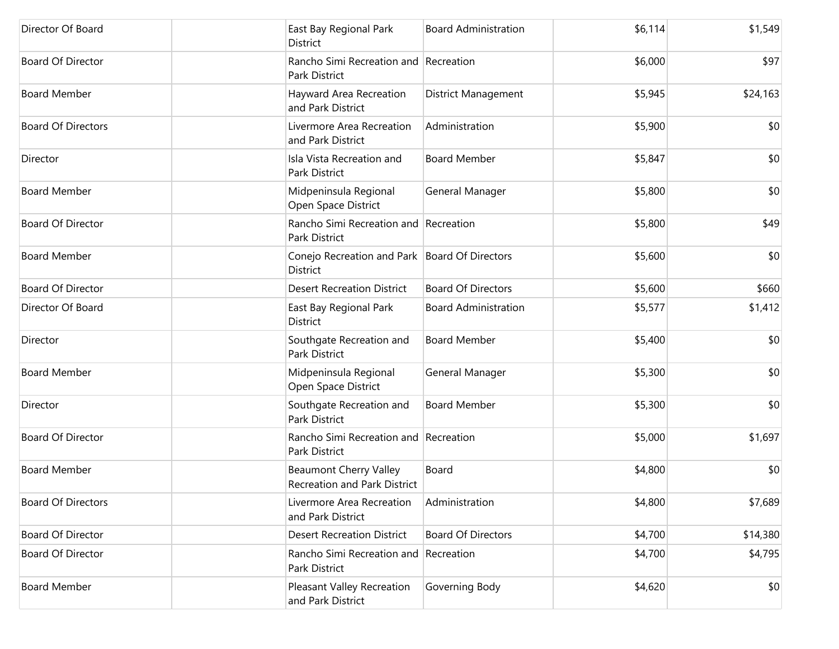| Director Of Board         | East Bay Regional Park<br>District                            | <b>Board Administration</b> | \$6,114 | \$1,549  |
|---------------------------|---------------------------------------------------------------|-----------------------------|---------|----------|
| <b>Board Of Director</b>  | Rancho Simi Recreation and Recreation<br>Park District        |                             | \$6,000 | \$97     |
| <b>Board Member</b>       | Hayward Area Recreation<br>and Park District                  | <b>District Management</b>  | \$5,945 | \$24,163 |
| <b>Board Of Directors</b> | Livermore Area Recreation<br>and Park District                | Administration              | \$5,900 | \$0      |
| Director                  | Isla Vista Recreation and<br>Park District                    | <b>Board Member</b>         | \$5,847 | \$0      |
| <b>Board Member</b>       | Midpeninsula Regional<br>Open Space District                  | General Manager             | \$5,800 | \$0      |
| <b>Board Of Director</b>  | Rancho Simi Recreation and Recreation<br><b>Park District</b> |                             | \$5,800 | \$49     |
| <b>Board Member</b>       | Conejo Recreation and Park   Board Of Directors<br>District   |                             | \$5,600 | \$0      |
| <b>Board Of Director</b>  | <b>Desert Recreation District</b>                             | <b>Board Of Directors</b>   | \$5,600 | \$660    |
| Director Of Board         | East Bay Regional Park<br>District                            | <b>Board Administration</b> | \$5,577 | \$1,412  |
| Director                  | Southgate Recreation and<br>Park District                     | <b>Board Member</b>         | \$5,400 | \$0      |
| <b>Board Member</b>       | Midpeninsula Regional<br>Open Space District                  | General Manager             | \$5,300 | \$0      |
| Director                  | Southgate Recreation and<br>Park District                     | <b>Board Member</b>         | \$5,300 | \$0      |
| <b>Board Of Director</b>  | Rancho Simi Recreation and Recreation<br>Park District        |                             | \$5,000 | \$1,697  |
| <b>Board Member</b>       | <b>Beaumont Cherry Valley</b><br>Recreation and Park District | Board                       | \$4,800 | \$0      |
| <b>Board Of Directors</b> | Livermore Area Recreation<br>and Park District                | Administration              | \$4,800 | \$7,689  |
| Board Of Director         | <b>Desert Recreation District</b>                             | <b>Board Of Directors</b>   | \$4,700 | \$14,380 |
| Board Of Director         | Rancho Simi Recreation and Recreation<br>Park District        |                             | \$4,700 | \$4,795  |
| <b>Board Member</b>       | Pleasant Valley Recreation<br>and Park District               | Governing Body              | \$4,620 | \$0      |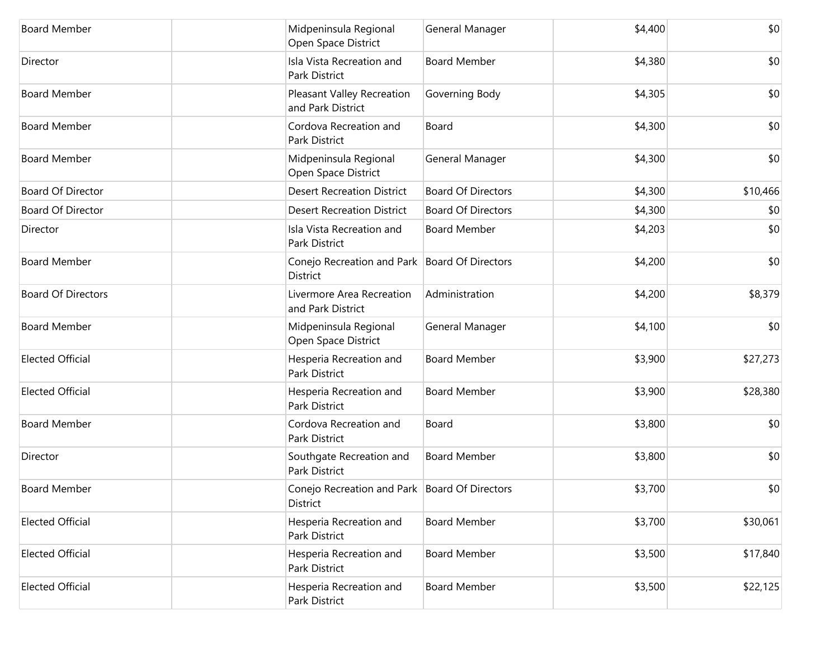| <b>Board Member</b>       | Midpeninsula Regional<br>Open Space District                       | General Manager           | \$4,400 | \$0      |
|---------------------------|--------------------------------------------------------------------|---------------------------|---------|----------|
| Director                  | Isla Vista Recreation and<br>Park District                         | <b>Board Member</b>       | \$4,380 | \$0      |
| <b>Board Member</b>       | Pleasant Valley Recreation<br>and Park District                    | Governing Body            | \$4,305 | \$0      |
| <b>Board Member</b>       | Cordova Recreation and<br>Park District                            | Board                     | \$4,300 | \$0      |
| <b>Board Member</b>       | Midpeninsula Regional<br>Open Space District                       | General Manager           | \$4,300 | \$0      |
| Board Of Director         | <b>Desert Recreation District</b>                                  | <b>Board Of Directors</b> | \$4,300 | \$10,466 |
| Board Of Director         | <b>Desert Recreation District</b>                                  | <b>Board Of Directors</b> | \$4,300 | \$0      |
| Director                  | Isla Vista Recreation and<br>Park District                         | <b>Board Member</b>       | \$4,203 | \$0      |
| <b>Board Member</b>       | Conejo Recreation and Park   Board Of Directors<br><b>District</b> |                           | \$4,200 | \$0      |
| <b>Board Of Directors</b> | Livermore Area Recreation<br>and Park District                     | Administration            | \$4,200 | \$8,379  |
| <b>Board Member</b>       | Midpeninsula Regional<br>Open Space District                       | General Manager           | \$4,100 | \$0      |
| <b>Elected Official</b>   | Hesperia Recreation and<br>Park District                           | <b>Board Member</b>       | \$3,900 | \$27,273 |
| <b>Elected Official</b>   | Hesperia Recreation and<br>Park District                           | <b>Board Member</b>       | \$3,900 | \$28,380 |
| <b>Board Member</b>       | Cordova Recreation and<br>Park District                            | Board                     | \$3,800 | \$0      |
| Director                  | Southgate Recreation and<br>Park District                          | <b>Board Member</b>       | \$3,800 | \$0      |
| <b>Board Member</b>       | Conejo Recreation and Park   Board Of Directors<br>District        |                           | \$3,700 | \$0      |
| <b>Elected Official</b>   | Hesperia Recreation and<br>Park District                           | <b>Board Member</b>       | \$3,700 | \$30,061 |
| <b>Elected Official</b>   | Hesperia Recreation and<br>Park District                           | <b>Board Member</b>       | \$3,500 | \$17,840 |
| <b>Elected Official</b>   | Hesperia Recreation and<br>Park District                           | <b>Board Member</b>       | \$3,500 | \$22,125 |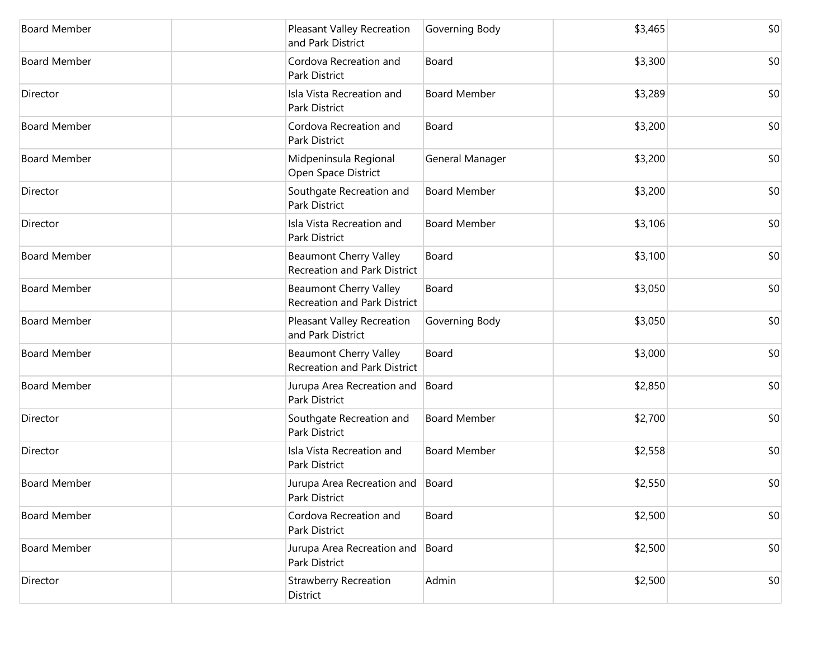| <b>Board Member</b> | Pleasant Valley Recreation<br>and Park District                      | Governing Body      | \$3,465 | \$0 |
|---------------------|----------------------------------------------------------------------|---------------------|---------|-----|
| <b>Board Member</b> | Cordova Recreation and<br>Park District                              | Board               | \$3,300 | \$0 |
| Director            | Isla Vista Recreation and<br>Park District                           | <b>Board Member</b> | \$3,289 | \$0 |
| <b>Board Member</b> | Cordova Recreation and<br>Park District                              | Board               | \$3,200 | \$0 |
| <b>Board Member</b> | Midpeninsula Regional<br>Open Space District                         | General Manager     | \$3,200 | \$0 |
| Director            | Southgate Recreation and<br>Park District                            | <b>Board Member</b> | \$3,200 | \$0 |
| Director            | Isla Vista Recreation and<br>Park District                           | <b>Board Member</b> | \$3,106 | \$0 |
| <b>Board Member</b> | <b>Beaumont Cherry Valley</b><br><b>Recreation and Park District</b> | Board               | \$3,100 | \$0 |
| <b>Board Member</b> | <b>Beaumont Cherry Valley</b><br>Recreation and Park District        | Board               | \$3,050 | \$0 |
| <b>Board Member</b> | Pleasant Valley Recreation<br>and Park District                      | Governing Body      | \$3,050 | \$0 |
| <b>Board Member</b> | <b>Beaumont Cherry Valley</b><br>Recreation and Park District        | Board               | \$3,000 | \$0 |
| <b>Board Member</b> | Jurupa Area Recreation and<br>Park District                          | Board               | \$2,850 | \$0 |
| Director            | Southgate Recreation and<br>Park District                            | <b>Board Member</b> | \$2,700 | \$0 |
| Director            | Isla Vista Recreation and<br>Park District                           | <b>Board Member</b> | \$2,558 | \$0 |
| <b>Board Member</b> | Jurupa Area Recreation and<br>Park District                          | Board               | \$2,550 | \$0 |
| <b>Board Member</b> | Cordova Recreation and<br>Park District                              | Board               | \$2,500 | \$0 |
| <b>Board Member</b> | Jurupa Area Recreation and<br>Park District                          | Board               | \$2,500 | \$0 |
| Director            | <b>Strawberry Recreation</b><br>District                             | Admin               | \$2,500 | \$0 |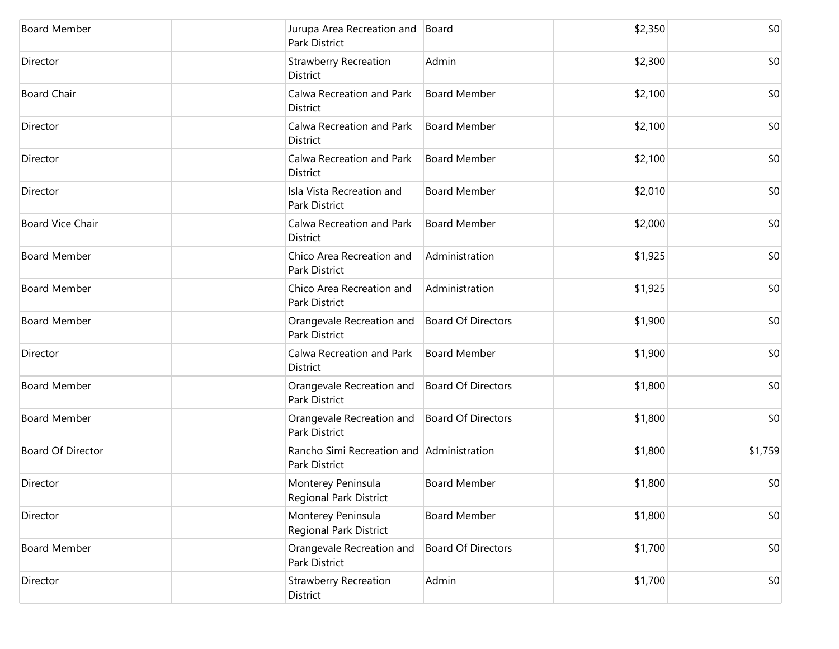| <b>Board Member</b>      | Jurupa Area Recreation and Board<br>Park District          |                           | \$2,350 | \$0     |
|--------------------------|------------------------------------------------------------|---------------------------|---------|---------|
| Director                 | <b>Strawberry Recreation</b><br>District                   | Admin                     | \$2,300 | \$0     |
| <b>Board Chair</b>       | Calwa Recreation and Park<br>District                      | <b>Board Member</b>       | \$2,100 | \$0     |
| Director                 | Calwa Recreation and Park<br>District                      | <b>Board Member</b>       | \$2,100 | \$0     |
| Director                 | Calwa Recreation and Park<br>District                      | <b>Board Member</b>       | \$2,100 | \$0     |
| Director                 | Isla Vista Recreation and<br>Park District                 | <b>Board Member</b>       | \$2,010 | \$0     |
| <b>Board Vice Chair</b>  | Calwa Recreation and Park<br>District                      | <b>Board Member</b>       | \$2,000 | \$0     |
| <b>Board Member</b>      | Chico Area Recreation and<br>Park District                 | Administration            | \$1,925 | \$0     |
| <b>Board Member</b>      | Chico Area Recreation and<br>Park District                 | Administration            | \$1,925 | \$0     |
| <b>Board Member</b>      | Orangevale Recreation and<br>Park District                 | <b>Board Of Directors</b> | \$1,900 | \$0     |
| Director                 | Calwa Recreation and Park<br>District                      | <b>Board Member</b>       | \$1,900 | \$0     |
| <b>Board Member</b>      | Orangevale Recreation and<br>Park District                 | Board Of Directors        | \$1,800 | \$0     |
| <b>Board Member</b>      | Orangevale Recreation and<br>Park District                 | Board Of Directors        | \$1,800 | \$0     |
| <b>Board Of Director</b> | Rancho Simi Recreation and Administration<br>Park District |                           | \$1,800 | \$1,759 |
| Director                 | Monterey Peninsula<br>Regional Park District               | <b>Board Member</b>       | \$1,800 | \$0     |
| Director                 | Monterey Peninsula<br>Regional Park District               | <b>Board Member</b>       | \$1,800 | \$0     |
| <b>Board Member</b>      | Orangevale Recreation and<br>Park District                 | <b>Board Of Directors</b> | \$1,700 | \$0     |
| Director                 | <b>Strawberry Recreation</b><br>District                   | Admin                     | \$1,700 | \$0     |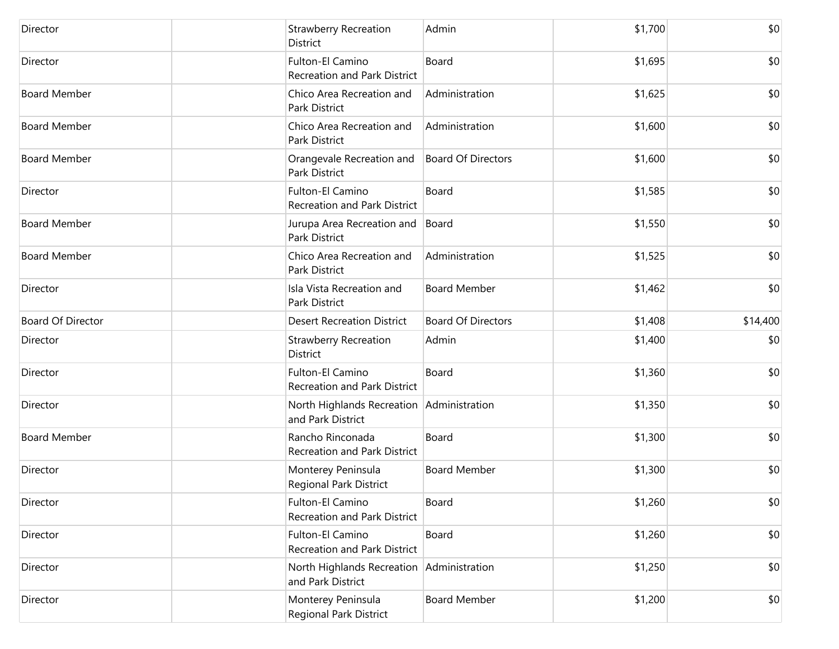| Director                 | <b>Strawberry Recreation</b><br>District                       | Admin                     | \$1,700 | \$0      |
|--------------------------|----------------------------------------------------------------|---------------------------|---------|----------|
| Director                 | Fulton-El Camino<br>Recreation and Park District               | Board                     | \$1,695 | \$0      |
| <b>Board Member</b>      | Chico Area Recreation and<br>Park District                     | Administration            | \$1,625 | \$0      |
| <b>Board Member</b>      | Chico Area Recreation and<br>Park District                     | Administration            | \$1,600 | \$0      |
| <b>Board Member</b>      | Orangevale Recreation and<br><b>Park District</b>              | <b>Board Of Directors</b> | \$1,600 | \$0      |
| Director                 | Fulton-El Camino<br>Recreation and Park District               | Board                     | \$1,585 | \$0      |
| <b>Board Member</b>      | Jurupa Area Recreation and<br>Park District                    | Board                     | \$1,550 | \$0      |
| <b>Board Member</b>      | Chico Area Recreation and<br>Park District                     | Administration            | \$1,525 | \$0      |
| Director                 | Isla Vista Recreation and<br>Park District                     | <b>Board Member</b>       | \$1,462 | \$0      |
| <b>Board Of Director</b> | <b>Desert Recreation District</b>                              | <b>Board Of Directors</b> | \$1,408 | \$14,400 |
| Director                 | <b>Strawberry Recreation</b><br>District                       | Admin                     | \$1,400 | \$0      |
| Director                 | Fulton-El Camino<br>Recreation and Park District               | Board                     | \$1,360 | \$0      |
| Director                 | North Highlands Recreation Administration<br>and Park District |                           | \$1,350 | \$0      |
| <b>Board Member</b>      | Rancho Rinconada<br>Recreation and Park District               | Board                     | \$1,300 | \$0      |
| Director                 | Monterey Peninsula<br>Regional Park District                   | <b>Board Member</b>       | \$1,300 | \$0      |
| Director                 | Fulton-El Camino<br><b>Recreation and Park District</b>        | Board                     | \$1,260 | \$0      |
| Director                 | Fulton-El Camino<br>Recreation and Park District               | Board                     | \$1,260 | \$0      |
| Director                 | North Highlands Recreation Administration<br>and Park District |                           | \$1,250 | \$0      |
| Director                 | Monterey Peninsula<br>Regional Park District                   | <b>Board Member</b>       | \$1,200 | \$0      |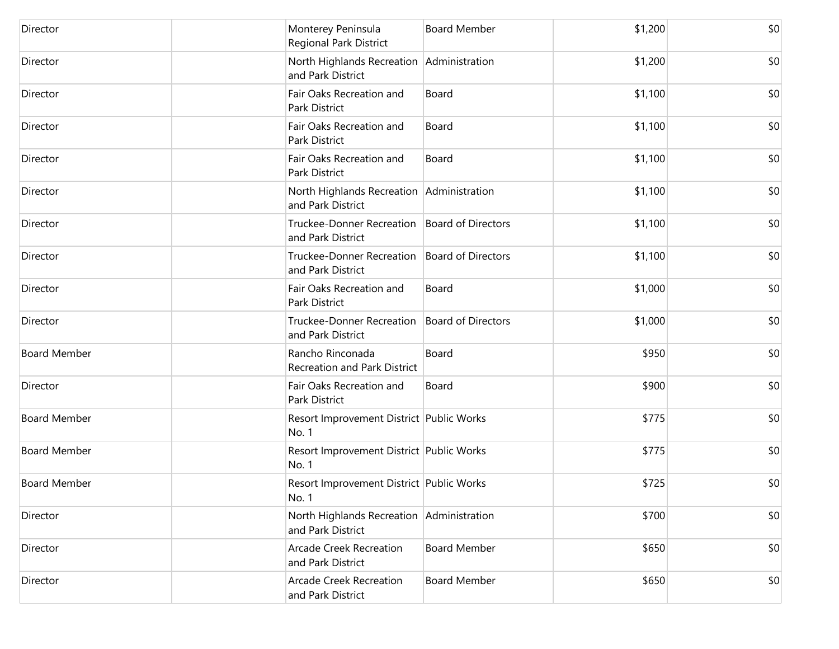| Director            | Monterey Peninsula<br>Regional Park District                        | <b>Board Member</b> | \$1,200 | \$0 |
|---------------------|---------------------------------------------------------------------|---------------------|---------|-----|
| Director            | North Highlands Recreation Administration<br>and Park District      |                     | \$1,200 | \$0 |
| Director            | Fair Oaks Recreation and<br>Park District                           | Board               | \$1,100 | \$0 |
| Director            | Fair Oaks Recreation and<br>Park District                           | Board               | \$1,100 | \$0 |
| Director            | Fair Oaks Recreation and<br>Park District                           | Board               | \$1,100 | \$0 |
| Director            | North Highlands Recreation Administration<br>and Park District      |                     | \$1,100 | \$0 |
| Director            | Truckee-Donner Recreation   Board of Directors<br>and Park District |                     | \$1,100 | \$0 |
| Director            | Truckee-Donner Recreation   Board of Directors<br>and Park District |                     | \$1,100 | \$0 |
| Director            | Fair Oaks Recreation and<br>Park District                           | Board               | \$1,000 | \$0 |
| Director            | Truckee-Donner Recreation   Board of Directors<br>and Park District |                     | \$1,000 | \$0 |
| <b>Board Member</b> | Rancho Rinconada<br>Recreation and Park District                    | Board               | \$950   | \$0 |
| Director            | Fair Oaks Recreation and<br>Park District                           | Board               | \$900   | \$0 |
| <b>Board Member</b> | Resort Improvement District Public Works<br>No. 1                   |                     | \$775   | \$0 |
| <b>Board Member</b> | Resort Improvement District Public Works<br>No. 1                   |                     | \$775   | \$0 |
| <b>Board Member</b> | Resort Improvement District Public Works<br>No. 1                   |                     | \$725   | \$0 |
| Director            | North Highlands Recreation   Administration<br>and Park District    |                     | \$700   | \$0 |
| Director            | <b>Arcade Creek Recreation</b><br>and Park District                 | <b>Board Member</b> | \$650   | \$0 |
| Director            | <b>Arcade Creek Recreation</b><br>and Park District                 | <b>Board Member</b> | \$650   | \$0 |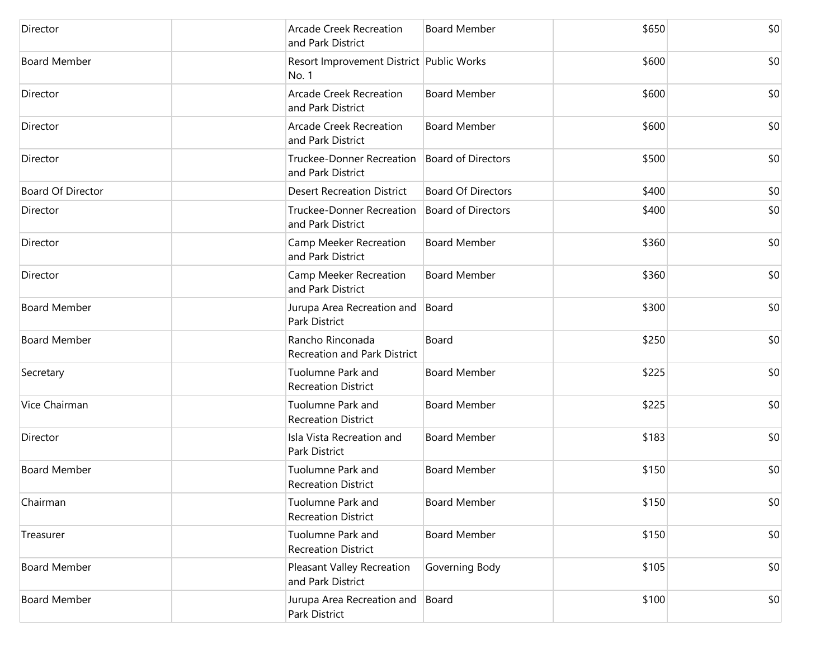| Director            | <b>Arcade Creek Recreation</b><br>and Park District   | <b>Board Member</b>       | \$650 | \$0 |
|---------------------|-------------------------------------------------------|---------------------------|-------|-----|
| <b>Board Member</b> | Resort Improvement District Public Works<br>No. 1     |                           | \$600 | \$0 |
| Director            | <b>Arcade Creek Recreation</b><br>and Park District   | <b>Board Member</b>       | \$600 | \$0 |
| Director            | <b>Arcade Creek Recreation</b><br>and Park District   | <b>Board Member</b>       | \$600 | \$0 |
| Director            | <b>Truckee-Donner Recreation</b><br>and Park District | <b>Board of Directors</b> | \$500 | \$0 |
| Board Of Director   | <b>Desert Recreation District</b>                     | <b>Board Of Directors</b> | \$400 | \$0 |
| Director            | <b>Truckee-Donner Recreation</b><br>and Park District | <b>Board of Directors</b> | \$400 | \$0 |
| Director            | Camp Meeker Recreation<br>and Park District           | <b>Board Member</b>       | \$360 | \$0 |
| Director            | Camp Meeker Recreation<br>and Park District           | <b>Board Member</b>       | \$360 | \$0 |
| <b>Board Member</b> | Jurupa Area Recreation and<br>Park District           | Board                     | \$300 | \$0 |
| <b>Board Member</b> | Rancho Rinconada<br>Recreation and Park District      | Board                     | \$250 | \$0 |
| Secretary           | Tuolumne Park and<br><b>Recreation District</b>       | <b>Board Member</b>       | \$225 | \$0 |
| Vice Chairman       | Tuolumne Park and<br><b>Recreation District</b>       | <b>Board Member</b>       | \$225 | \$0 |
| Director            | Isla Vista Recreation and<br>Park District            | <b>Board Member</b>       | \$183 | \$0 |
| <b>Board Member</b> | Tuolumne Park and<br><b>Recreation District</b>       | <b>Board Member</b>       | \$150 | \$0 |
| Chairman            | Tuolumne Park and<br><b>Recreation District</b>       | <b>Board Member</b>       | \$150 | \$0 |
| Treasurer           | Tuolumne Park and<br><b>Recreation District</b>       | <b>Board Member</b>       | \$150 | \$0 |
| <b>Board Member</b> | Pleasant Valley Recreation<br>and Park District       | Governing Body            | \$105 | \$0 |
| <b>Board Member</b> | Jurupa Area Recreation and<br>Park District           | Board                     | \$100 | \$0 |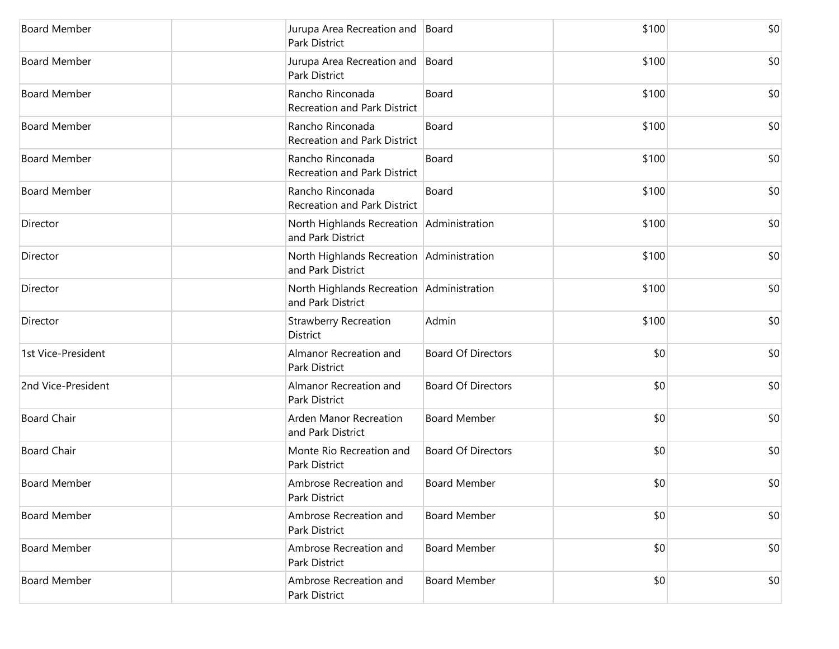| <b>Board Member</b> | Jurupa Area Recreation and Board<br>Park District              |                           | \$100 | \$0 |
|---------------------|----------------------------------------------------------------|---------------------------|-------|-----|
| <b>Board Member</b> | Jurupa Area Recreation and Board<br>Park District              |                           | \$100 | \$0 |
| <b>Board Member</b> | Rancho Rinconada<br>Recreation and Park District               | Board                     | \$100 | \$0 |
| <b>Board Member</b> | Rancho Rinconada<br>Recreation and Park District               | Board                     | \$100 | \$0 |
| <b>Board Member</b> | Rancho Rinconada<br>Recreation and Park District               | Board                     | \$100 | \$0 |
| <b>Board Member</b> | Rancho Rinconada<br>Recreation and Park District               | Board                     | \$100 | \$0 |
| Director            | North Highlands Recreation Administration<br>and Park District |                           | \$100 | \$0 |
| Director            | North Highlands Recreation Administration<br>and Park District |                           | \$100 | \$0 |
| Director            | North Highlands Recreation Administration<br>and Park District |                           | \$100 | \$0 |
| Director            | <b>Strawberry Recreation</b><br>District                       | Admin                     | \$100 | \$0 |
| 1st Vice-President  | Almanor Recreation and<br>Park District                        | <b>Board Of Directors</b> | \$0   | \$0 |
| 2nd Vice-President  | Almanor Recreation and<br>Park District                        | <b>Board Of Directors</b> | \$0   | \$0 |
| <b>Board Chair</b>  | Arden Manor Recreation<br>and Park District                    | <b>Board Member</b>       | \$0   | \$0 |
| <b>Board Chair</b>  | Monte Rio Recreation and<br>Park District                      | <b>Board Of Directors</b> | \$0   | \$0 |
| <b>Board Member</b> | Ambrose Recreation and<br>Park District                        | <b>Board Member</b>       | \$0   | \$0 |
| <b>Board Member</b> | Ambrose Recreation and<br>Park District                        | <b>Board Member</b>       | \$0   | \$0 |
| <b>Board Member</b> | Ambrose Recreation and<br>Park District                        | <b>Board Member</b>       | \$0   | \$0 |
| <b>Board Member</b> | Ambrose Recreation and<br>Park District                        | <b>Board Member</b>       | \$0   | \$0 |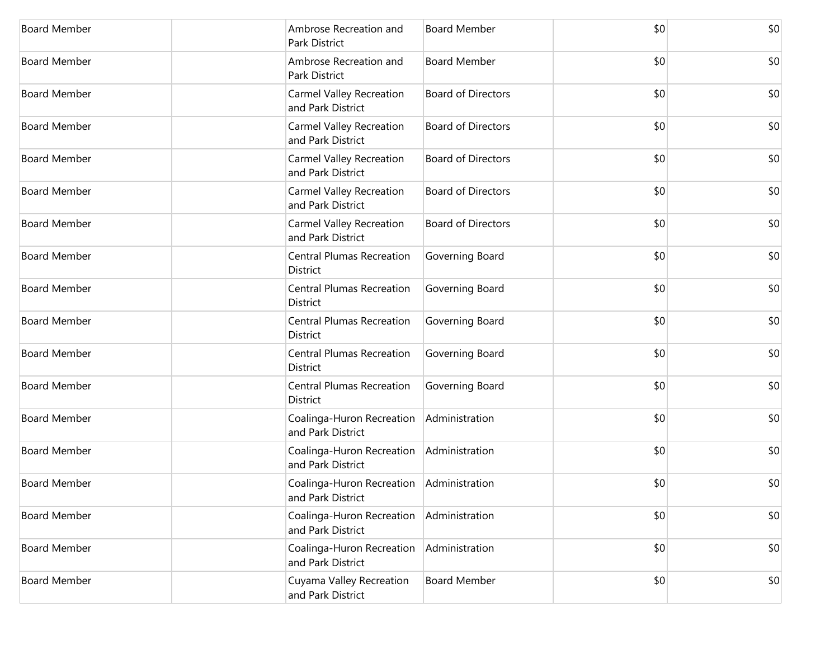| <b>Board Member</b> | Ambrose Recreation and<br>Park District                         | <b>Board Member</b>       | \$0 | \$0 |
|---------------------|-----------------------------------------------------------------|---------------------------|-----|-----|
| <b>Board Member</b> | Ambrose Recreation and<br>Park District                         | <b>Board Member</b>       | \$0 | \$0 |
| <b>Board Member</b> | Carmel Valley Recreation<br>and Park District                   | <b>Board of Directors</b> | \$0 | \$0 |
| <b>Board Member</b> | <b>Carmel Valley Recreation</b><br>and Park District            | <b>Board of Directors</b> | \$0 | \$0 |
| <b>Board Member</b> | Carmel Valley Recreation<br>and Park District                   | <b>Board of Directors</b> | \$0 | \$0 |
| <b>Board Member</b> | <b>Carmel Valley Recreation</b><br>and Park District            | <b>Board of Directors</b> | \$0 | \$0 |
| <b>Board Member</b> | <b>Carmel Valley Recreation</b><br>and Park District            | <b>Board of Directors</b> | \$0 | \$0 |
| <b>Board Member</b> | <b>Central Plumas Recreation</b><br>District                    | Governing Board           | \$0 | \$0 |
| <b>Board Member</b> | <b>Central Plumas Recreation</b><br>District                    | Governing Board           | \$0 | \$0 |
| <b>Board Member</b> | <b>Central Plumas Recreation</b><br>District                    | Governing Board           | \$0 | \$0 |
| <b>Board Member</b> | <b>Central Plumas Recreation</b><br>District                    | Governing Board           | \$0 | \$0 |
| <b>Board Member</b> | <b>Central Plumas Recreation</b><br>District                    | Governing Board           | \$0 | \$0 |
| <b>Board Member</b> | Coalinga-Huron Recreation<br>and Park District                  | Administration            | \$0 | \$0 |
| <b>Board Member</b> | Coalinga-Huron Recreation<br>and Park District                  | Administration            | \$0 | \$0 |
| <b>Board Member</b> | Coalinga-Huron Recreation   Administration<br>and Park District |                           | \$0 | \$0 |
| <b>Board Member</b> | Coalinga-Huron Recreation<br>and Park District                  | Administration            | \$0 | \$0 |
| <b>Board Member</b> | Coalinga-Huron Recreation<br>and Park District                  | Administration            | \$0 | \$0 |
| <b>Board Member</b> | Cuyama Valley Recreation<br>and Park District                   | <b>Board Member</b>       | \$0 | \$0 |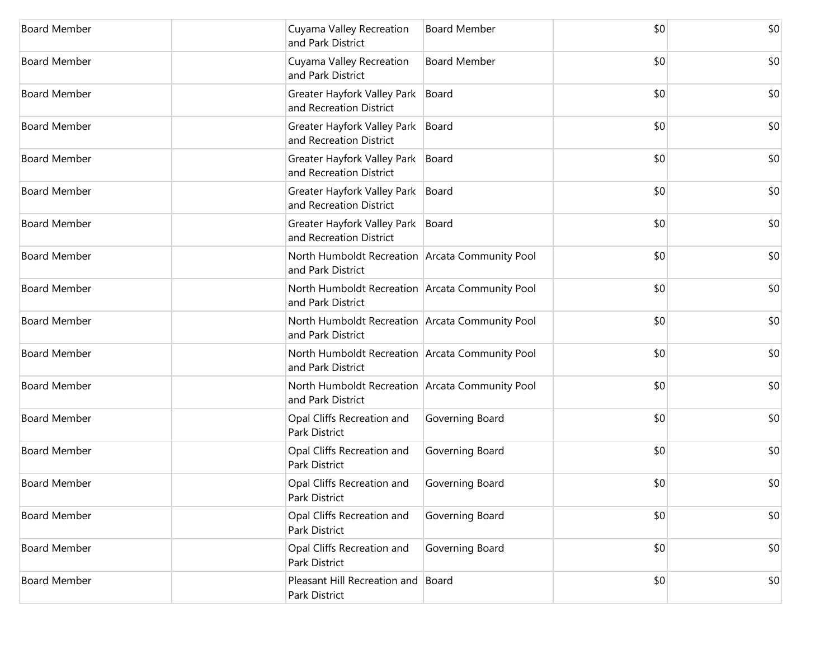| <b>Board Member</b> | Cuyama Valley Recreation<br>and Park District                        | <b>Board Member</b> | \$0 | \$0 |
|---------------------|----------------------------------------------------------------------|---------------------|-----|-----|
| <b>Board Member</b> | Cuyama Valley Recreation<br>and Park District                        | <b>Board Member</b> | \$0 | \$0 |
| <b>Board Member</b> | Greater Hayfork Valley Park<br>and Recreation District               | Board               | \$0 | \$0 |
| <b>Board Member</b> | Greater Hayfork Valley Park<br>and Recreation District               | Board               | \$0 | \$0 |
| <b>Board Member</b> | Greater Hayfork Valley Park<br>and Recreation District               | Board               | \$0 | \$0 |
| <b>Board Member</b> | Greater Hayfork Valley Park<br>and Recreation District               | Board               | \$0 | \$0 |
| <b>Board Member</b> | Greater Hayfork Valley Park<br>and Recreation District               | Board               | \$0 | \$0 |
| <b>Board Member</b> | North Humboldt Recreation Arcata Community Pool<br>and Park District |                     | \$0 | \$0 |
| <b>Board Member</b> | North Humboldt Recreation Arcata Community Pool<br>and Park District |                     | \$0 | \$0 |
| <b>Board Member</b> | North Humboldt Recreation Arcata Community Pool<br>and Park District |                     | \$0 | \$0 |
| <b>Board Member</b> | North Humboldt Recreation Arcata Community Pool<br>and Park District |                     | \$0 | \$0 |
| <b>Board Member</b> | North Humboldt Recreation Arcata Community Pool<br>and Park District |                     | \$0 | \$0 |
| <b>Board Member</b> | Opal Cliffs Recreation and<br>Park District                          | Governing Board     | \$0 | \$0 |
| <b>Board Member</b> | Opal Cliffs Recreation and<br>Park District                          | Governing Board     | \$0 | \$0 |
| <b>Board Member</b> | Opal Cliffs Recreation and<br>Park District                          | Governing Board     | \$0 | \$0 |
| <b>Board Member</b> | Opal Cliffs Recreation and<br>Park District                          | Governing Board     | \$0 | \$0 |
| <b>Board Member</b> | Opal Cliffs Recreation and<br>Park District                          | Governing Board     | \$0 | \$0 |
| <b>Board Member</b> | Pleasant Hill Recreation and Board<br>Park District                  |                     | \$0 | \$0 |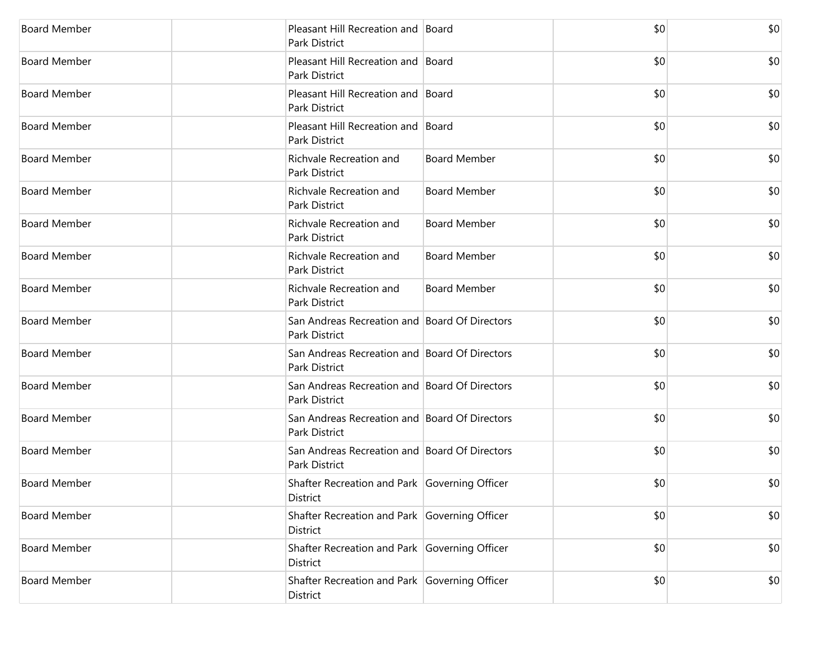| <b>Board Member</b> | Pleasant Hill Recreation and Board<br>Park District            |                     | \$0 | \$0 |
|---------------------|----------------------------------------------------------------|---------------------|-----|-----|
| <b>Board Member</b> | Pleasant Hill Recreation and  Board<br>Park District           |                     | \$0 | \$0 |
| <b>Board Member</b> | Pleasant Hill Recreation and  Board<br>Park District           |                     | \$0 | \$0 |
| <b>Board Member</b> | Pleasant Hill Recreation and Board<br>Park District            |                     | \$0 | \$0 |
| <b>Board Member</b> | Richvale Recreation and<br>Park District                       | <b>Board Member</b> | \$0 | \$0 |
| <b>Board Member</b> | Richvale Recreation and<br>Park District                       | <b>Board Member</b> | \$0 | \$0 |
| <b>Board Member</b> | Richvale Recreation and<br><b>Park District</b>                | <b>Board Member</b> | \$0 | \$0 |
| <b>Board Member</b> | Richvale Recreation and<br>Park District                       | <b>Board Member</b> | \$0 | \$0 |
| <b>Board Member</b> | Richvale Recreation and<br>Park District                       | <b>Board Member</b> | \$0 | \$0 |
| <b>Board Member</b> | San Andreas Recreation and Board Of Directors<br>Park District |                     | \$0 | \$0 |
| <b>Board Member</b> | San Andreas Recreation and Board Of Directors<br>Park District |                     | \$0 | \$0 |
| <b>Board Member</b> | San Andreas Recreation and Board Of Directors<br>Park District |                     | \$0 | \$0 |
| <b>Board Member</b> | San Andreas Recreation and Board Of Directors<br>Park District |                     | \$0 | \$0 |
| <b>Board Member</b> | San Andreas Recreation and Board Of Directors<br>Park District |                     | \$0 | \$0 |
| <b>Board Member</b> | Shafter Recreation and Park Governing Officer<br>District      |                     | \$0 | \$0 |
| <b>Board Member</b> | Shafter Recreation and Park Governing Officer<br>District      |                     | \$0 | \$0 |
| <b>Board Member</b> | Shafter Recreation and Park Governing Officer<br>District      |                     | \$0 | \$0 |
| <b>Board Member</b> | Shafter Recreation and Park Governing Officer<br>District      |                     | \$0 | \$0 |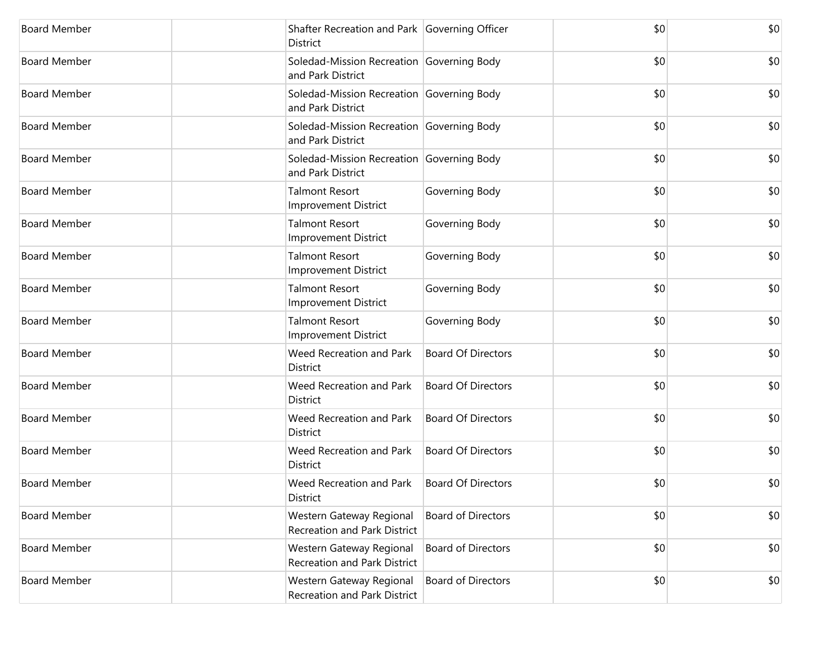| <b>Board Member</b> | Shafter Recreation and Park Governing Officer<br>District       |                           | \$0 | \$0 |
|---------------------|-----------------------------------------------------------------|---------------------------|-----|-----|
| <b>Board Member</b> | Soledad-Mission Recreation Governing Body<br>and Park District  |                           | \$0 | \$0 |
| <b>Board Member</b> | Soledad-Mission Recreation Governing Body<br>and Park District  |                           | \$0 | \$0 |
| <b>Board Member</b> | Soledad-Mission Recreation Governing Body<br>and Park District  |                           | \$0 | \$0 |
| <b>Board Member</b> | Soledad-Mission Recreation Governing Body<br>and Park District  |                           | \$0 | \$0 |
| <b>Board Member</b> | <b>Talmont Resort</b><br><b>Improvement District</b>            | Governing Body            | \$0 | \$0 |
| <b>Board Member</b> | <b>Talmont Resort</b><br><b>Improvement District</b>            | Governing Body            | \$0 | \$0 |
| <b>Board Member</b> | <b>Talmont Resort</b><br><b>Improvement District</b>            | Governing Body            | \$0 | \$0 |
| <b>Board Member</b> | <b>Talmont Resort</b><br><b>Improvement District</b>            | Governing Body            | \$0 | \$0 |
| <b>Board Member</b> | <b>Talmont Resort</b><br><b>Improvement District</b>            | Governing Body            | \$0 | \$0 |
| <b>Board Member</b> | Weed Recreation and Park<br>District                            | <b>Board Of Directors</b> | \$0 | \$0 |
| <b>Board Member</b> | Weed Recreation and Park<br>District                            | <b>Board Of Directors</b> | \$0 | \$0 |
| <b>Board Member</b> | Weed Recreation and Park<br>District                            | <b>Board Of Directors</b> | \$0 | \$0 |
| <b>Board Member</b> | Weed Recreation and Park<br>District                            | <b>Board Of Directors</b> | \$0 | \$0 |
| <b>Board Member</b> | Weed Recreation and Park<br>District                            | <b>Board Of Directors</b> | \$0 | \$0 |
| <b>Board Member</b> | Western Gateway Regional<br><b>Recreation and Park District</b> | <b>Board of Directors</b> | \$0 | \$0 |
| <b>Board Member</b> | Western Gateway Regional<br>Recreation and Park District        | <b>Board of Directors</b> | \$0 | \$0 |
| <b>Board Member</b> | Western Gateway Regional<br>Recreation and Park District        | <b>Board of Directors</b> | \$0 | \$0 |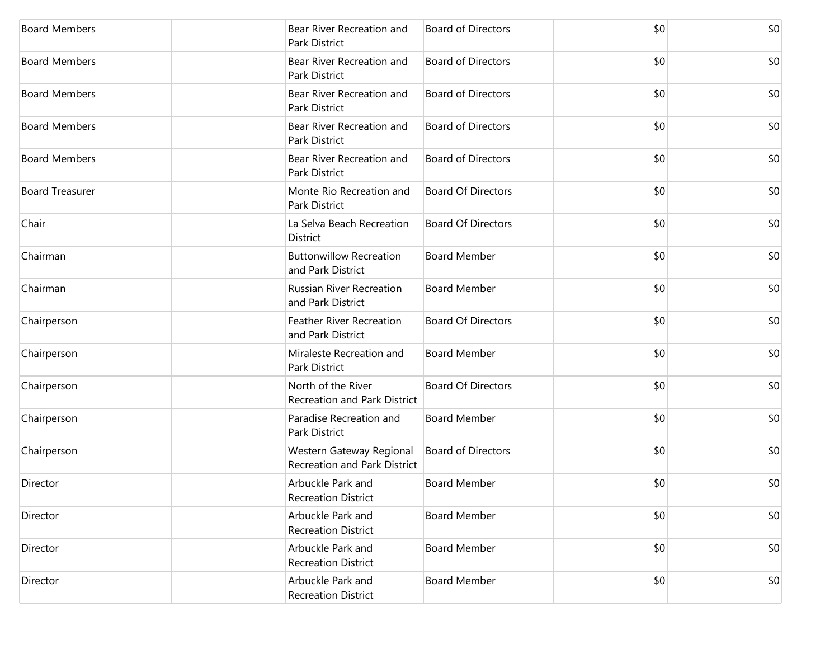| <b>Board Members</b>   | Bear River Recreation and<br>Park District                      | <b>Board of Directors</b> | \$0 | \$0 |
|------------------------|-----------------------------------------------------------------|---------------------------|-----|-----|
| <b>Board Members</b>   | Bear River Recreation and<br>Park District                      | <b>Board of Directors</b> | \$0 | \$0 |
| <b>Board Members</b>   | Bear River Recreation and<br>Park District                      | <b>Board of Directors</b> | \$0 | \$0 |
| <b>Board Members</b>   | Bear River Recreation and<br><b>Park District</b>               | <b>Board of Directors</b> | \$0 | \$0 |
| <b>Board Members</b>   | Bear River Recreation and<br>Park District                      | <b>Board of Directors</b> | \$0 | \$0 |
| <b>Board Treasurer</b> | Monte Rio Recreation and<br>Park District                       | <b>Board Of Directors</b> | \$0 | \$0 |
| Chair                  | La Selva Beach Recreation<br>District                           | <b>Board Of Directors</b> | \$0 | \$0 |
| Chairman               | <b>Buttonwillow Recreation</b><br>and Park District             | <b>Board Member</b>       | \$0 | \$0 |
| Chairman               | <b>Russian River Recreation</b><br>and Park District            | <b>Board Member</b>       | \$0 | \$0 |
| Chairperson            | <b>Feather River Recreation</b><br>and Park District            | <b>Board Of Directors</b> | \$0 | \$0 |
| Chairperson            | Miraleste Recreation and<br>Park District                       | <b>Board Member</b>       | \$0 | \$0 |
| Chairperson            | North of the River<br><b>Recreation and Park District</b>       | <b>Board Of Directors</b> | \$0 | \$0 |
| Chairperson            | Paradise Recreation and<br>Park District                        | <b>Board Member</b>       | \$0 | \$0 |
| Chairperson            | Western Gateway Regional<br><b>Recreation and Park District</b> | <b>Board of Directors</b> | \$0 | \$0 |
| Director               | Arbuckle Park and<br><b>Recreation District</b>                 | <b>Board Member</b>       | \$0 | \$0 |
| Director               | Arbuckle Park and<br><b>Recreation District</b>                 | <b>Board Member</b>       | \$0 | \$0 |
| Director               | Arbuckle Park and<br><b>Recreation District</b>                 | <b>Board Member</b>       | \$0 | \$0 |
| Director               | Arbuckle Park and<br><b>Recreation District</b>                 | <b>Board Member</b>       | \$0 | \$0 |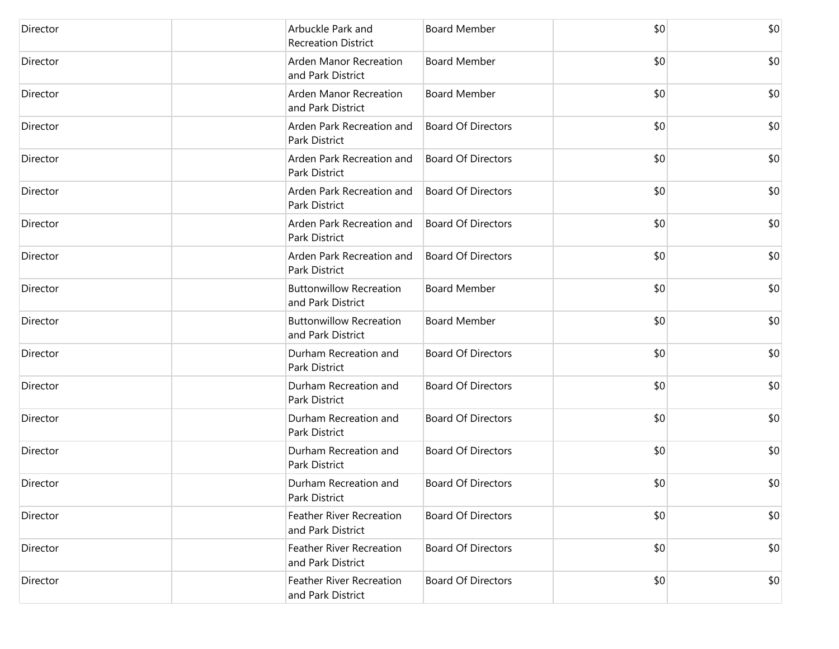| Director | Arbuckle Park and<br><b>Recreation District</b>      | <b>Board Member</b>       | \$0 | \$0 |
|----------|------------------------------------------------------|---------------------------|-----|-----|
| Director | Arden Manor Recreation<br>and Park District          | <b>Board Member</b>       | \$0 | \$0 |
| Director | Arden Manor Recreation<br>and Park District          | <b>Board Member</b>       | \$0 | \$0 |
| Director | Arden Park Recreation and<br><b>Park District</b>    | <b>Board Of Directors</b> | \$0 | \$0 |
| Director | Arden Park Recreation and<br>Park District           | <b>Board Of Directors</b> | \$0 | \$0 |
| Director | Arden Park Recreation and<br>Park District           | <b>Board Of Directors</b> | \$0 | \$0 |
| Director | Arden Park Recreation and<br><b>Park District</b>    | <b>Board Of Directors</b> | \$0 | \$0 |
| Director | Arden Park Recreation and<br>Park District           | <b>Board Of Directors</b> | \$0 | \$0 |
| Director | <b>Buttonwillow Recreation</b><br>and Park District  | <b>Board Member</b>       | \$0 | \$0 |
| Director | <b>Buttonwillow Recreation</b><br>and Park District  | <b>Board Member</b>       | \$0 | \$0 |
| Director | Durham Recreation and<br><b>Park District</b>        | <b>Board Of Directors</b> | \$0 | \$0 |
| Director | Durham Recreation and<br>Park District               | <b>Board Of Directors</b> | \$0 | \$0 |
| Director | Durham Recreation and<br>Park District               | <b>Board Of Directors</b> | \$0 | \$0 |
| Director | Durham Recreation and<br>Park District               | <b>Board Of Directors</b> | \$0 | \$0 |
| Director | Durham Recreation and<br>Park District               | <b>Board Of Directors</b> | \$0 | \$0 |
| Director | <b>Feather River Recreation</b><br>and Park District | <b>Board Of Directors</b> | \$0 | \$0 |
| Director | <b>Feather River Recreation</b><br>and Park District | <b>Board Of Directors</b> | \$0 | \$0 |
| Director | <b>Feather River Recreation</b><br>and Park District | <b>Board Of Directors</b> | \$0 | \$0 |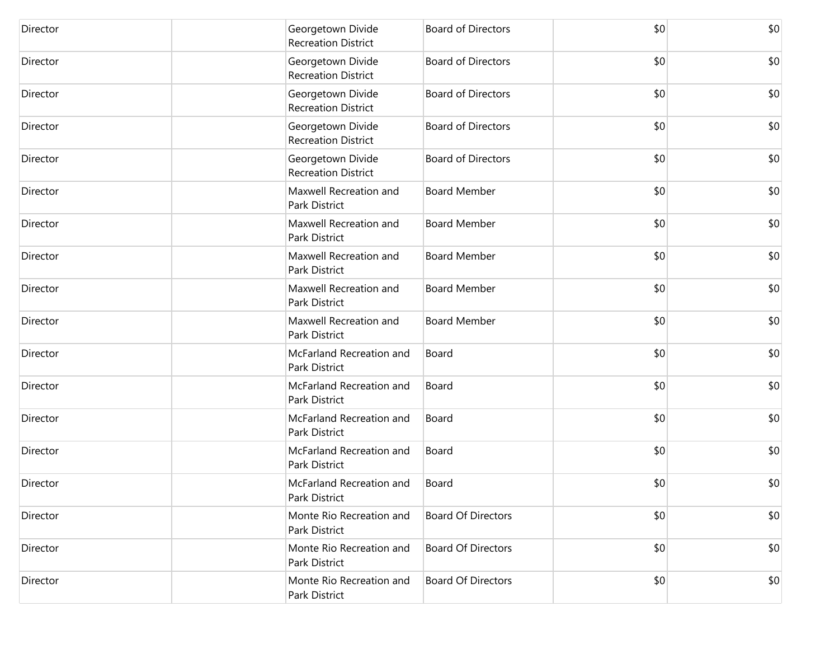| Director | Georgetown Divide<br><b>Recreation District</b> | <b>Board of Directors</b> | \$0 | \$0 |
|----------|-------------------------------------------------|---------------------------|-----|-----|
| Director | Georgetown Divide<br><b>Recreation District</b> | <b>Board of Directors</b> | \$0 | \$0 |
| Director | Georgetown Divide<br><b>Recreation District</b> | <b>Board of Directors</b> | \$0 | \$0 |
| Director | Georgetown Divide<br><b>Recreation District</b> | <b>Board of Directors</b> | \$0 | \$0 |
| Director | Georgetown Divide<br><b>Recreation District</b> | <b>Board of Directors</b> | \$0 | \$0 |
| Director | Maxwell Recreation and<br>Park District         | <b>Board Member</b>       | \$0 | \$0 |
| Director | Maxwell Recreation and<br>Park District         | <b>Board Member</b>       | \$0 | \$0 |
| Director | Maxwell Recreation and<br>Park District         | <b>Board Member</b>       | \$0 | \$0 |
| Director | Maxwell Recreation and<br>Park District         | <b>Board Member</b>       | \$0 | \$0 |
| Director | Maxwell Recreation and<br>Park District         | <b>Board Member</b>       | \$0 | \$0 |
| Director | McFarland Recreation and<br>Park District       | Board                     | \$0 | \$0 |
| Director | McFarland Recreation and<br>Park District       | Board                     | \$0 | \$0 |
| Director | McFarland Recreation and<br>Park District       | Board                     | \$0 | \$0 |
| Director | McFarland Recreation and<br>Park District       | Board                     | \$0 | \$0 |
| Director | McFarland Recreation and<br>Park District       | Board                     | \$0 | \$0 |
| Director | Monte Rio Recreation and<br>Park District       | <b>Board Of Directors</b> | \$0 | \$0 |
| Director | Monte Rio Recreation and<br>Park District       | <b>Board Of Directors</b> | \$0 | \$0 |
| Director | Monte Rio Recreation and<br>Park District       | <b>Board Of Directors</b> | \$0 | \$0 |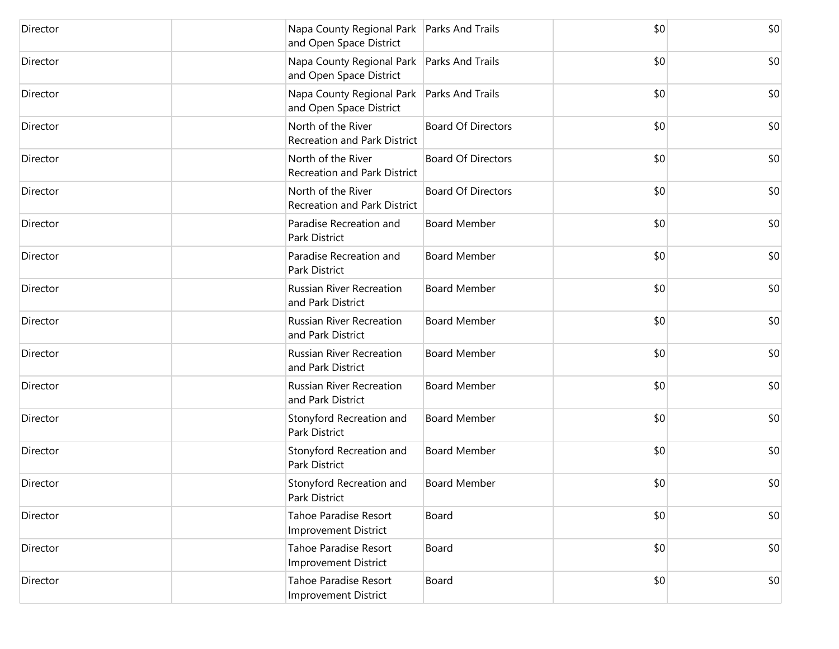| Director | and Open Space District                                     | Napa County Regional Park   Parks And Trails | \$0 | \$0 |
|----------|-------------------------------------------------------------|----------------------------------------------|-----|-----|
| Director | and Open Space District                                     | Napa County Regional Park   Parks And Trails | \$0 | \$0 |
| Director | and Open Space District                                     | Napa County Regional Park   Parks And Trails | \$0 | \$0 |
| Director | North of the River<br><b>Recreation and Park District</b>   | <b>Board Of Directors</b>                    | \$0 | \$0 |
| Director | North of the River<br><b>Recreation and Park District</b>   | <b>Board Of Directors</b>                    | \$0 | \$0 |
| Director | North of the River<br><b>Recreation and Park District</b>   | <b>Board Of Directors</b>                    | \$0 | \$0 |
| Director | Paradise Recreation and<br>Park District                    | <b>Board Member</b>                          | \$0 | \$0 |
| Director | Paradise Recreation and<br>Park District                    | <b>Board Member</b>                          | \$0 | \$0 |
| Director | <b>Russian River Recreation</b><br>and Park District        | <b>Board Member</b>                          | \$0 | \$0 |
| Director | Russian River Recreation<br>and Park District               | <b>Board Member</b>                          | \$0 | \$0 |
| Director | <b>Russian River Recreation</b><br>and Park District        | <b>Board Member</b>                          | \$0 | \$0 |
| Director | <b>Russian River Recreation</b><br>and Park District        | <b>Board Member</b>                          | \$0 | \$0 |
| Director | Stonyford Recreation and<br>Park District                   | <b>Board Member</b>                          | \$0 | \$0 |
| Director | Stonyford Recreation and<br>Park District                   | <b>Board Member</b>                          | \$0 | \$0 |
| Director | Stonyford Recreation and<br>Park District                   | <b>Board Member</b>                          | \$0 | \$0 |
| Director | <b>Tahoe Paradise Resort</b><br><b>Improvement District</b> | Board                                        | \$0 | \$0 |
| Director | <b>Tahoe Paradise Resort</b><br>Improvement District        | Board                                        | \$0 | \$0 |
| Director | Tahoe Paradise Resort<br>Improvement District               | Board                                        | \$0 | \$0 |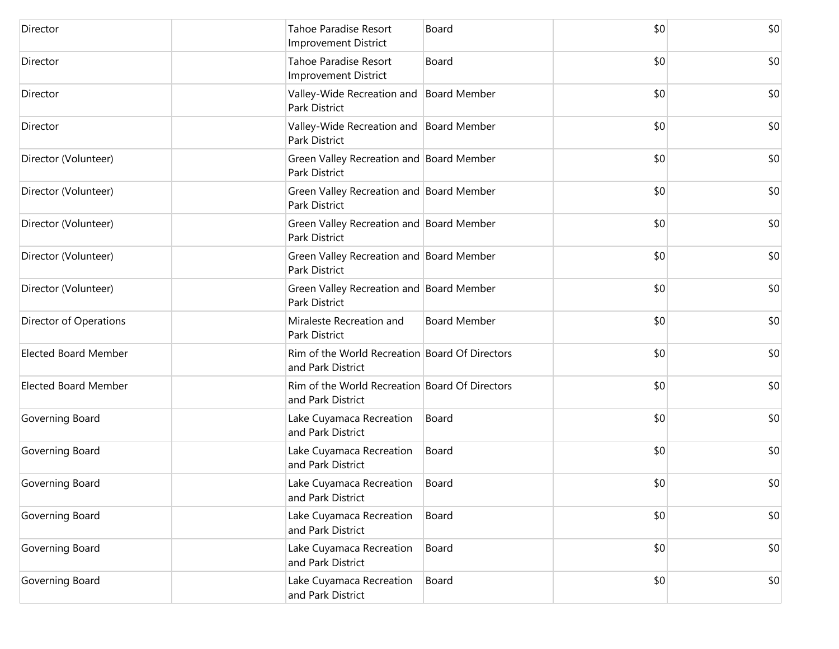| Director                    | <b>Tahoe Paradise Resort</b><br><b>Improvement District</b>         | Board               | \$0 | \$0 |
|-----------------------------|---------------------------------------------------------------------|---------------------|-----|-----|
| Director                    | Tahoe Paradise Resort<br><b>Improvement District</b>                | Board               | \$0 | \$0 |
| Director                    | Valley-Wide Recreation and Board Member<br>Park District            |                     | \$0 | \$0 |
| Director                    | Valley-Wide Recreation and Board Member<br>Park District            |                     | \$0 | \$0 |
| Director (Volunteer)        | Green Valley Recreation and Board Member<br>Park District           |                     | \$0 | \$0 |
| Director (Volunteer)        | Green Valley Recreation and Board Member<br>Park District           |                     | \$0 | \$0 |
| Director (Volunteer)        | Green Valley Recreation and Board Member<br>Park District           |                     | \$0 | \$0 |
| Director (Volunteer)        | Green Valley Recreation and Board Member<br>Park District           |                     | \$0 | \$0 |
| Director (Volunteer)        | Green Valley Recreation and Board Member<br>Park District           |                     | \$0 | \$0 |
| Director of Operations      | Miraleste Recreation and<br>Park District                           | <b>Board Member</b> | \$0 | \$0 |
| <b>Elected Board Member</b> | Rim of the World Recreation Board Of Directors<br>and Park District |                     | \$0 | \$0 |
| <b>Elected Board Member</b> | Rim of the World Recreation Board Of Directors<br>and Park District |                     | \$0 | \$0 |
| Governing Board             | Lake Cuyamaca Recreation<br>and Park District                       | Board               | \$0 | \$0 |
| Governing Board             | Lake Cuyamaca Recreation<br>and Park District                       | Board               | \$0 | \$0 |
| Governing Board             | Lake Cuyamaca Recreation<br>and Park District                       | Board               | \$0 | \$0 |
| Governing Board             | Lake Cuyamaca Recreation<br>and Park District                       | Board               | \$0 | \$0 |
| Governing Board             | Lake Cuyamaca Recreation<br>and Park District                       | Board               | \$0 | \$0 |
| Governing Board             | Lake Cuyamaca Recreation<br>and Park District                       | Board               | \$0 | \$0 |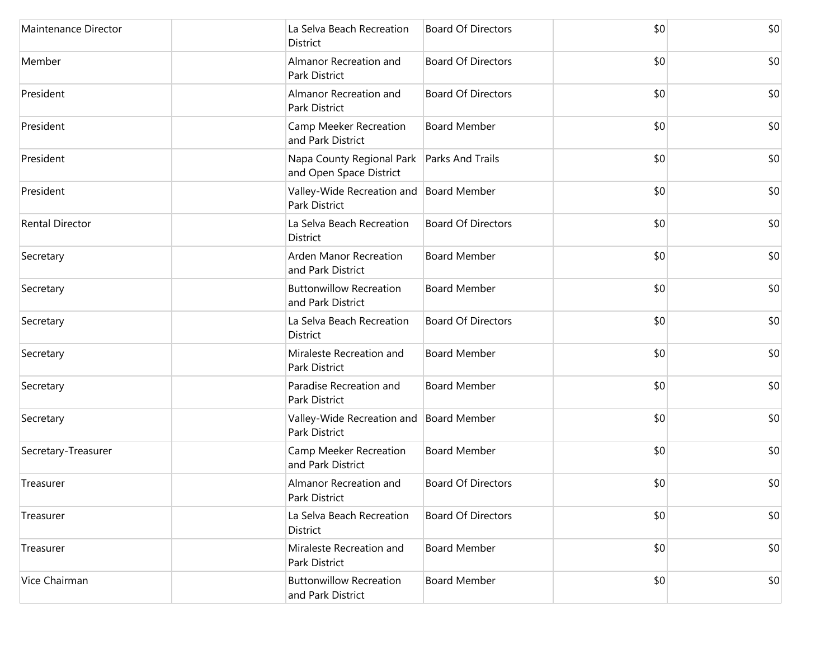| Maintenance Director   | La Selva Beach Recreation<br>District                    | <b>Board Of Directors</b> | \$0 | \$0 |
|------------------------|----------------------------------------------------------|---------------------------|-----|-----|
| Member                 | Almanor Recreation and<br>Park District                  | <b>Board Of Directors</b> | \$0 | \$0 |
| President              | Almanor Recreation and<br>Park District                  | <b>Board Of Directors</b> | \$0 | \$0 |
| President              | Camp Meeker Recreation<br>and Park District              | <b>Board Member</b>       | \$0 | \$0 |
| President              | Napa County Regional Park<br>and Open Space District     | <b>Parks And Trails</b>   | \$0 | \$0 |
| President              | Valley-Wide Recreation and Board Member<br>Park District |                           | \$0 | \$0 |
| <b>Rental Director</b> | La Selva Beach Recreation<br>District                    | <b>Board Of Directors</b> | \$0 | \$0 |
| Secretary              | Arden Manor Recreation<br>and Park District              | <b>Board Member</b>       | \$0 | \$0 |
| Secretary              | <b>Buttonwillow Recreation</b><br>and Park District      | <b>Board Member</b>       | \$0 | \$0 |
| Secretary              | La Selva Beach Recreation<br>District                    | <b>Board Of Directors</b> | \$0 | \$0 |
| Secretary              | Miraleste Recreation and<br>Park District                | <b>Board Member</b>       | \$0 | \$0 |
| Secretary              | Paradise Recreation and<br>Park District                 | <b>Board Member</b>       | \$0 | \$0 |
| Secretary              | Valley-Wide Recreation and Board Member<br>Park District |                           | \$0 | \$0 |
| Secretary-Treasurer    | Camp Meeker Recreation<br>and Park District              | <b>Board Member</b>       | \$0 | \$0 |
| Treasurer              | Almanor Recreation and<br>Park District                  | <b>Board Of Directors</b> | \$0 | \$0 |
| Treasurer              | La Selva Beach Recreation<br>District                    | <b>Board Of Directors</b> | \$0 | \$0 |
| Treasurer              | Miraleste Recreation and<br>Park District                | <b>Board Member</b>       | \$0 | \$0 |
| Vice Chairman          | <b>Buttonwillow Recreation</b><br>and Park District      | <b>Board Member</b>       | \$0 | \$0 |